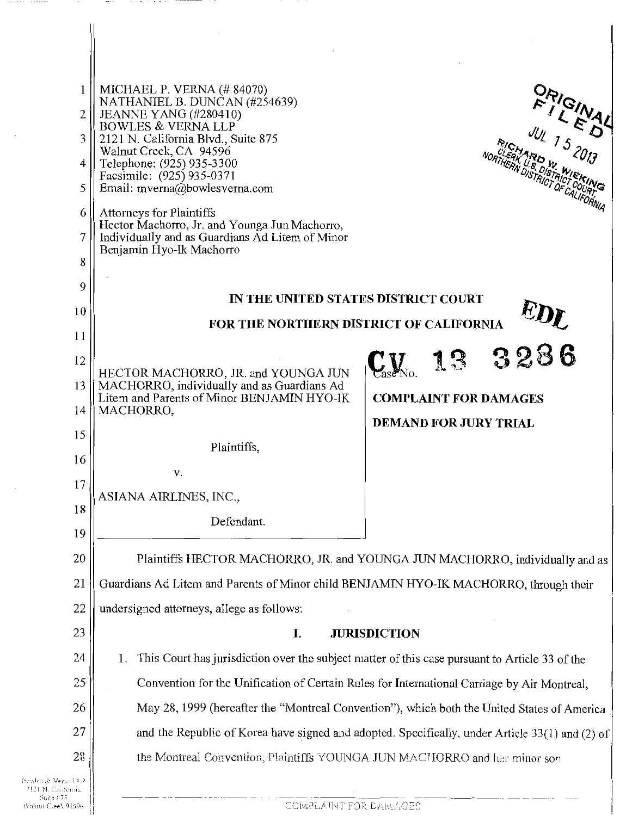| $\mathbf{1}$                                          | MICHAEL P. VERNA $(\# 84070)$<br>ORIGINAL<br>NATHANIEL B. DUNCAN (#254639)                           |
|-------------------------------------------------------|------------------------------------------------------------------------------------------------------|
| $\overline{2}$                                        | <b>JEANNE YANG (#280410)</b><br><b>BOWLES &amp; VERNA LLP</b>                                        |
| 3                                                     | 2121 N. California Blvd., Suite 875<br>Walnut Creek, CA 94596                                        |
| 4                                                     | Telephone: (925) 935-3300<br>Facsimile: (925) 935-0371                                               |
| 5                                                     | Email: mverna@bowlesverna.com                                                                        |
| 6                                                     | Attorneys for Plaintiffs<br>Hector Machorro, Jr. and Younga Jun Machorro,                            |
| 7                                                     | Individually and as Guardians Ad Litem of Minor                                                      |
| 8                                                     | Benjamin Hyo-Ik Machorro                                                                             |
| 9                                                     |                                                                                                      |
| 10                                                    | IN THE UNITED STATES DISTRICT COURT                                                                  |
| 11                                                    | <b>FOR THE NORTHERN DISTRICT OF CALIFORNIA</b>                                                       |
| 12                                                    | CALIFORNIA <sup>UDL</sup>                                                                            |
| 13                                                    | HECTOR MACHORRO, JR. and YOUNGA JUN<br>MACHORRO, individually and as Guardians Ad                    |
| 14                                                    | Litem and Parents of Minor BENJAMIN HYO-IK<br><b>COMPLAINT FOR DAMAGES</b><br>MACHORRO,              |
| 15                                                    | <b>DEMAND FOR JURY TRIAL</b>                                                                         |
| 16                                                    | Plaintiffs,                                                                                          |
| 17                                                    | v.                                                                                                   |
| 18                                                    | ASIANA AIRLINES, INC.,                                                                               |
| 19                                                    | Defendant.                                                                                           |
| 20                                                    | Plaintiffs HECTOR MACHORRO, JR. and YOUNGA JUN MACHORRO, individually and as                         |
| 21                                                    | Guardians Ad Litem and Parents of Minor child BENJAMIN HYO-IK MACHORRO, through their                |
| 22                                                    | undersigned attorneys, allege as follows:                                                            |
| 23                                                    | <b>JURISDICTION</b><br>I.                                                                            |
| 24                                                    | This Court has jurisdiction over the subject matter of this case pursuant to Article 33 of the<br>1. |
| 25                                                    | Convention for the Unification of Certain Rules for International Carriage by Air Montreal,          |
| 26                                                    | May 28, 1999 (hereafter the "Montreal Convention"), which both the United States of America          |
| 27                                                    | and the Republic of Korea have signed and adopted. Specifically, under Article 33(1) and (2) of      |
| 28                                                    | the Montreal Convention, Plaintiffs YOUNGA JUN MACHORRO and her minor son                            |
| Dowles & Venis LLP                                    |                                                                                                      |
| 2121 N. California<br>Suite 875<br>Walnut Creek 94596 | COMPLAINT FOR DAMAGES                                                                                |

 $-1.1.1.1.1$ 

 $\sim$ 

 $............$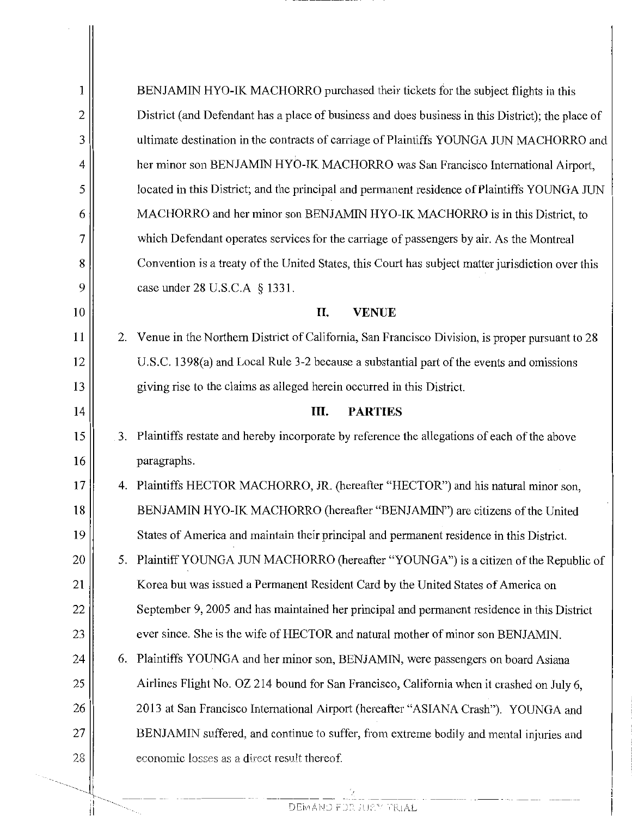| 1  |    | BENJAMIN HYO-IK MACHORRO purchased their tickets for the subject flights in this                  |
|----|----|---------------------------------------------------------------------------------------------------|
| 2  |    | District (and Defendant has a place of business and does business in this District); the place of |
| 3  |    | ultimate destination in the contracts of carriage of Plaintiffs YOUNGA JUN MACHORRO and           |
| 4  |    | her minor son BENJAMIN HYO-IK MACHORRO was San Francisco International Airport,                   |
| 5  |    | located in this District; and the principal and permanent residence of Plaintiffs YOUNGA JUN      |
| 6  |    | MACHORRO and her minor son BENJAMIN HYO-IK MACHORRO is in this District, to                       |
| 7  |    | which Defendant operates services for the carriage of passengers by air. As the Montreal          |
| 8  |    | Convention is a treaty of the United States, this Court has subject matter jurisdiction over this |
| 9  |    | case under 28 U.S.C.A § 1331.                                                                     |
| 10 |    | H.<br><b>VENUE</b>                                                                                |
| 11 |    | 2. Venue in the Northern District of California, San Francisco Division, is proper pursuant to 28 |
| 12 |    | U.S.C. 1398(a) and Local Rule 3-2 because a substantial part of the events and omissions          |
| 13 |    | giving rise to the claims as alleged herein occurred in this District.                            |
| 14 |    | Ш.<br><b>PARTIES</b>                                                                              |
| 15 |    | 3. Plaintiffs restate and hereby incorporate by reference the allegations of each of the above    |
| 16 |    | paragraphs.                                                                                       |
| 17 |    | 4. Plaintiffs HECTOR MACHORRO, JR. (hereafter "HECTOR") and his natural minor son,                |
| 18 |    | BENJAMIN HYO-IK MACHORRO (hereafter "BENJAMIN") are citizens of the United                        |
| 19 |    | States of America and maintain their principal and permanent residence in this District.          |
| 20 | 5. | Plaintiff YOUNGA JUN MACHORRO (hereafter "YOUNGA") is a citizen of the Republic of                |
| 21 |    | Korea but was issued a Permanent Resident Card by the United States of America on                 |
| 22 |    | September 9, 2005 and has maintained her principal and permanent residence in this District       |
| 23 |    | ever since. She is the wife of HECTOR and natural mother of minor son BENJAMIN.                   |
| 24 |    | 6. Plaintiffs YOUNGA and her minor son, BENJAMIN, were passengers on board Asiana                 |
| 25 |    | Airlines Flight No. OZ 214 bound for San Francisco, California when it crashed on July 6,         |
| 26 |    | 2013 at San Francisco International Airport (hereafter "ASIANA Crash"). YOUNGA and                |
| 27 |    | BENJAMIN suffered, and continue to suffer, from extreme bodily and mental injuries and            |
| 28 |    | economic losses as a direct result thereof.                                                       |
|    |    |                                                                                                   |

 $\frac{2}{\text{DEWANO FOR JUEY TRIAL}}$ 

', ' '  $\frac{1}{2}$ II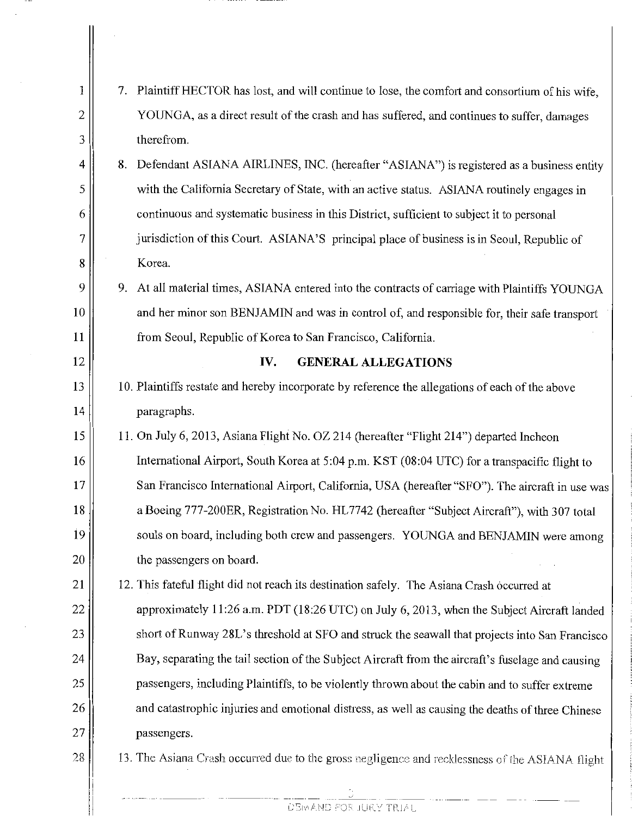| 1  | Plaintiff HECTOR has lost, and will continue to lose, the comfort and consortium of his wife,<br>7. |
|----|-----------------------------------------------------------------------------------------------------|
| 2  | YOUNGA, as a direct result of the crash and has suffered, and continues to suffer, damages          |
| 3  | therefrom.                                                                                          |
| 4  | Defendant ASIANA AIRLINES, INC. (hereafter "ASIANA") is registered as a business entity<br>8.       |
| 5  | with the California Secretary of State, with an active status. ASIANA routinely engages in          |
| 6  | continuous and systematic business in this District, sufficient to subject it to personal           |
| 7  | jurisdiction of this Court. ASIANA'S principal place of business is in Seoul, Republic of           |
| 8  | Korea.                                                                                              |
| 9  | At all material times, ASIANA entered into the contracts of carriage with Plaintiffs YOUNGA<br>9.   |
| 10 | and her minor son BENJAMIN and was in control of, and responsible for, their safe transport         |
| 11 | from Seoul, Republic of Korea to San Francisco, California.                                         |
| 12 | <b>GENERAL ALLEGATIONS</b><br>IV.                                                                   |
| 13 | 10. Plaintiffs restate and hereby incorporate by reference the allegations of each of the above     |
| 14 | paragraphs.                                                                                         |
| 15 | 11. On July 6, 2013, Asiana Flight No. OZ 214 (hereafter "Flight 214") departed Incheon             |
| 16 | International Airport, South Korea at 5:04 p.m. KST (08:04 UTC) for a transpacific flight to        |
| 17 | San Francisco International Airport, California, USA (hereafter "SFO"). The aircraft in use was     |
| 18 | a Boeing 777-200ER, Registration No. HL7742 (hereafter "Subject Aircraft"), with 307 total          |
| 19 | souls on board, including both crew and passengers. YOUNGA and BENJAMIN were among                  |
| 20 | the passengers on board.                                                                            |
| 21 | 12. This fateful flight did not reach its destination safely. The Asiana Crash occurred at          |
| 22 | approximately 11:26 a.m. PDT (18:26 UTC) on July 6, 2013, when the Subject Aircraft landed          |
| 23 | short of Runway 28L's threshold at SFO and struck the seawall that projects into San Francisco      |
| 24 | Bay, separating the tail section of the Subject Aircraft from the aircraft's fuselage and causing   |
| 25 | passengers, including Plaintiffs, to be violently thrown about the cabin and to suffer extreme      |
| 26 | and catastrophic injuries and emotional distress, as well as causing the deaths of three Chinese    |
| 27 | passengers.                                                                                         |
| 28 | 13. The Asiana Crash occurred due to the gross negligence and recklessness of the ASIANA flight     |
|    |                                                                                                     |

DEMAND FOR JURY TRIAL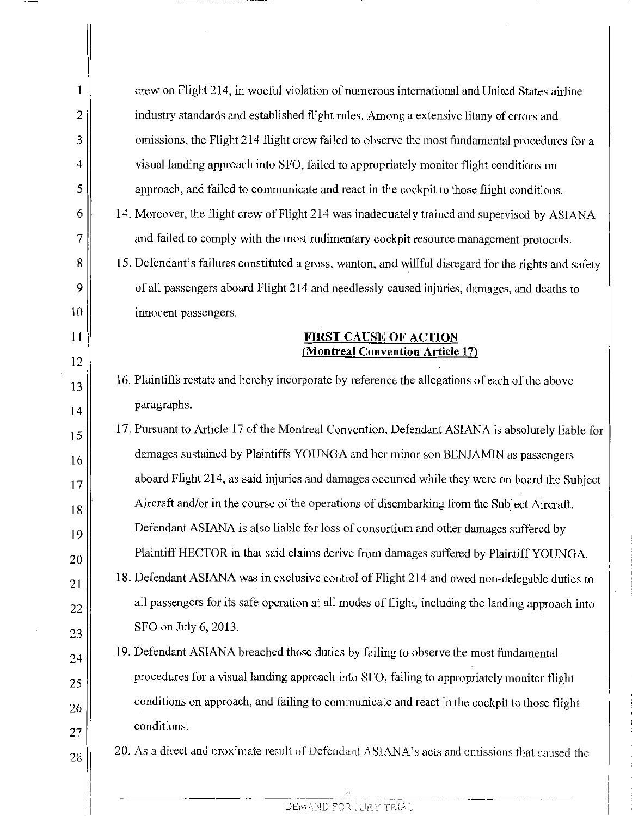| 1 | crew on Flight 214, in woeful violation of numerous international and United States airline           |
|---|-------------------------------------------------------------------------------------------------------|
| 2 | industry standards and established flight rules. Among a extensive litany of errors and               |
| 3 | omissions, the Flight 214 flight crew failed to observe the most fundamental procedures for a         |
| 4 | visual landing approach into SFO, failed to appropriately monitor flight conditions on                |
|   | approach, and failed to communicate and react in the cockpit to those flight conditions.              |
|   | 14. Moreover, the flight crew of Flight 214 was inadequately trained and supervised by ASIANA         |
|   | and failed to comply with the most rudimentary cockpit resource management protocols.                 |
|   | 15. Defendant's failures constituted a gross, wanton, and willful disregard for the rights and safety |
|   | of all passengers aboard Flight 214 and needlessly caused injuries, damages, and deaths to            |
|   | innocent passengers.                                                                                  |
|   | <b>FIRST CAUSE OF ACTION</b><br>(Montreal Convention Article 17)                                      |
|   |                                                                                                       |
|   | 16. Plaintiffs restate and hereby incorporate by reference the allegations of each of the above       |
|   | paragraphs.                                                                                           |
|   | 17. Pursuant to Article 17 of the Montreal Convention, Defendant ASIANA is absolutely liable for      |
|   | damages sustained by Plaintiffs YOUNGA and her minor son BENJAMIN as passengers                       |
|   | aboard Flight 214, as said injuries and damages occurred while they were on board the Subject         |
|   | Aircraft and/or in the course of the operations of disembarking from the Subject Aircraft.            |
|   | Defendant ASIANA is also liable for loss of consortium and other damages suffered by                  |
|   | Plaintiff HECTOR in that said claims derive from damages suffered by Plaintiff YOUNGA.                |
|   | 18. Defendant ASIANA was in exclusive control of Flight 214 and owed non-delegable duties to          |
|   | all passengers for its safe operation at all modes of flight, including the landing approach into     |
|   | SFO on July 6, 2013.                                                                                  |
|   | 19. Defendant ASIANA breached those duties by failing to observe the most fundamental                 |
|   | procedures for a visual landing approach into SFO, failing to appropriately monitor flight            |
|   | conditions on approach, and failing to communicate and react in the cockpit to those flight           |
|   | conditions.                                                                                           |
|   | 20. As a direct and proximate result of Defendant ASIANA's acts and omissions that caused the         |
|   |                                                                                                       |
|   |                                                                                                       |
|   |                                                                                                       |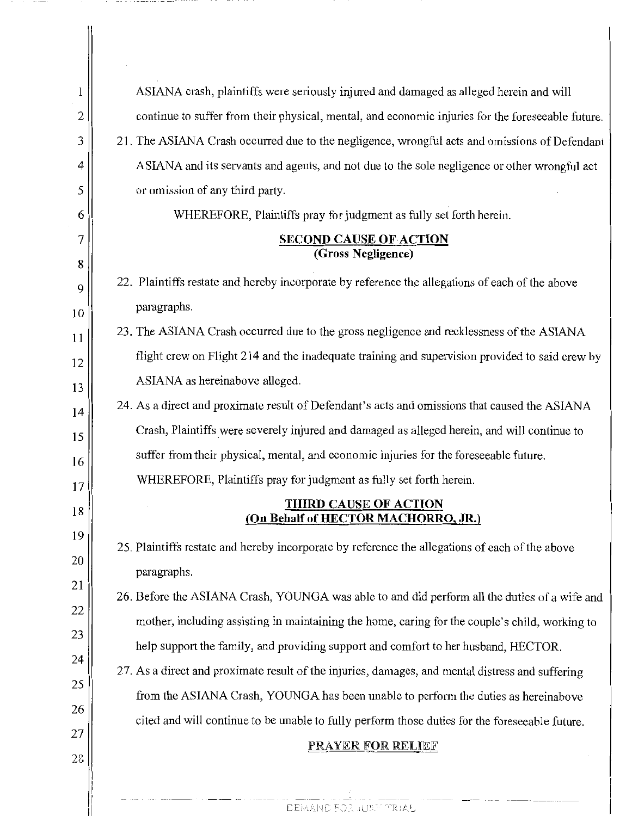| 1      | ASIANA crash, plaintiffs were seriously injured and damaged as alleged herein and will                                                                                               |
|--------|--------------------------------------------------------------------------------------------------------------------------------------------------------------------------------------|
| 2      | continue to suffer from their physical, mental, and economic injuries for the foreseeable future.                                                                                    |
| 3      | 21. The ASIANA Crash occurred due to the negligence, wrongful acts and omissions of Defendant                                                                                        |
| 4      | ASIANA and its servants and agents, and not due to the sole negligence or other wrongful act                                                                                         |
| 5      | or omission of any third party.                                                                                                                                                      |
| 6      | WHEREFORE, Plaintiffs pray for judgment as fully set forth herein.                                                                                                                   |
| 7<br>8 | <b>SECOND CAUSE OF ACTION</b><br>(Gross Negligence)                                                                                                                                  |
| 9      | 22. Plaintiffs restate and hereby incorporate by reference the allegations of each of the above                                                                                      |
| 10     | paragraphs.                                                                                                                                                                          |
| 11     | 23. The ASIANA Crash occurred due to the gross negligence and recklessness of the ASIANA                                                                                             |
| 12     | flight crew on Flight 214 and the inadequate training and supervision provided to said crew by                                                                                       |
| 13     | ASIANA as hereinabove alleged.                                                                                                                                                       |
| 14     | 24. As a direct and proximate result of Defendant's acts and omissions that caused the ASIANA                                                                                        |
| 15     | Crash, Plaintiffs were severely injured and damaged as alleged herein, and will continue to                                                                                          |
| 16     | suffer from their physical, mental, and economic injuries for the foreseeable future.                                                                                                |
| 17     | WHEREFORE, Plaintiffs pray for judgment as fully set forth herein.                                                                                                                   |
| 18     | <b>THIRD CAUSE OF ACTION</b><br>(On Behalf of HECTOR MACHORRO, JR.)                                                                                                                  |
| 19     | 25. Plaintiffs restate and hereby incorporate by reference the allegations of each of the above                                                                                      |
| 20     |                                                                                                                                                                                      |
| 21     | paragraphs.<br>26. Before the ASIANA Crash, YOUNGA was able to and did perform all the duties of a wife and                                                                          |
| 22     | mother, including assisting in maintaining the home, caring for the couple's child, working to                                                                                       |
| 23     | help support the family, and providing support and comfort to her husband, HECTOR.                                                                                                   |
| 24     | 27. As a direct and proximate result of the injuries, damages, and mental distress and suffering                                                                                     |
| 25     |                                                                                                                                                                                      |
| 26     | from the ASIANA Crash, YOUNGA has been unable to perform the duties as hereinabove<br>cited and will continue to be unable to fully perform those duties for the foreseeable future. |
| 27     | <b>PRAYER FOR RELIEF</b>                                                                                                                                                             |
| 28     |                                                                                                                                                                                      |
|        |                                                                                                                                                                                      |

DEMAND FOR JURY TRIAL

and the company of the company

 $\parallel$